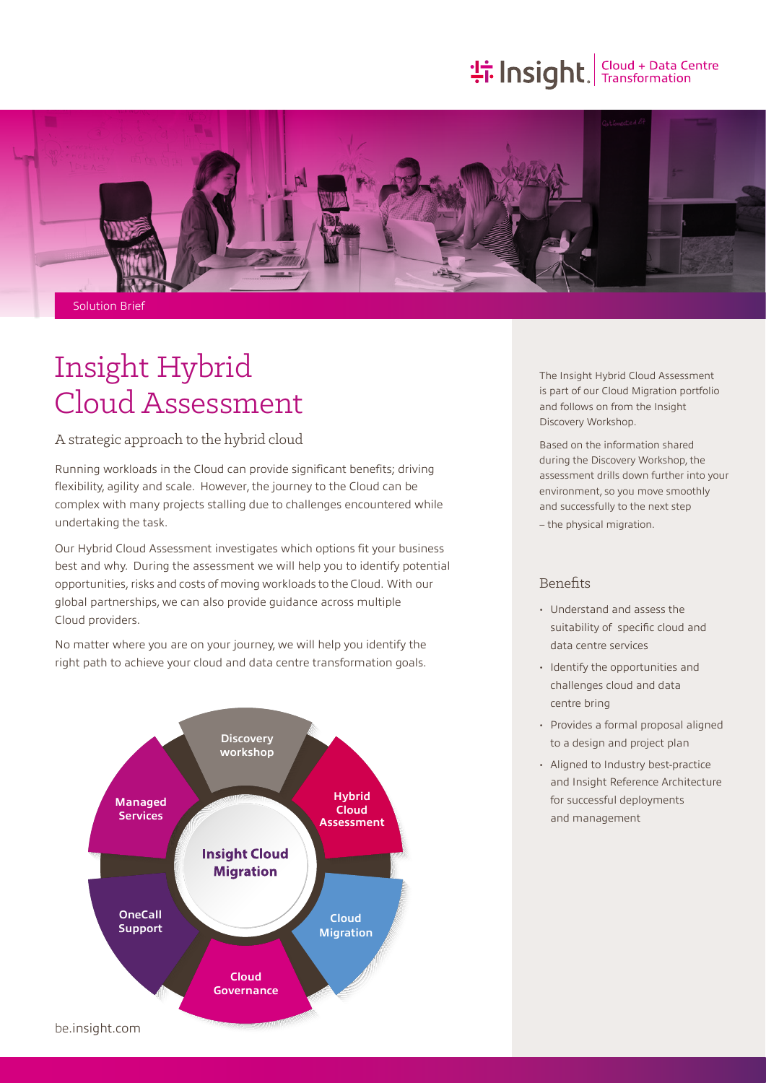# **the Insight**, Cloud + Data Centre



Solution Brief

## Insight Hybrid Cloud Assessment

A strategic approach to the hybrid cloud

Running workloads in the Cloud can provide significant benefits; driving flexibility, agility and scale. However, the journey to the Cloud can be complex with many projects stalling due to challenges encountered while undertaking the task.

Our Hybrid Cloud Assessment investigates which options fit your business best and why. During the assessment we will help you to identify potential opportunities, risks and costs of moving workloads to the Cloud. With our global partnerships, we can also provide guidance across multiple Cloud providers.

No matter where you are on your journey, we will help you identify the right path to achieve your cloud and data centre transformation goals.



The Insight Hybrid Cloud Assessment is part of our Cloud Migration portfolio and follows on from the Insight Discovery Workshop.

Based on the information shared during the Discovery Workshop, the assessment drills down further into your environment, so you move smoothly and successfully to the next step

– the physical migration.

## Benefits

- Understand and assess the suitability of specific cloud and data centre services
- Identify the opportunities and challenges cloud and data centre bring
- Provides a formal proposal aligned to a design and project plan
- Aligned to Industry best-practice and Insight Reference Architecture for successful deployments and management